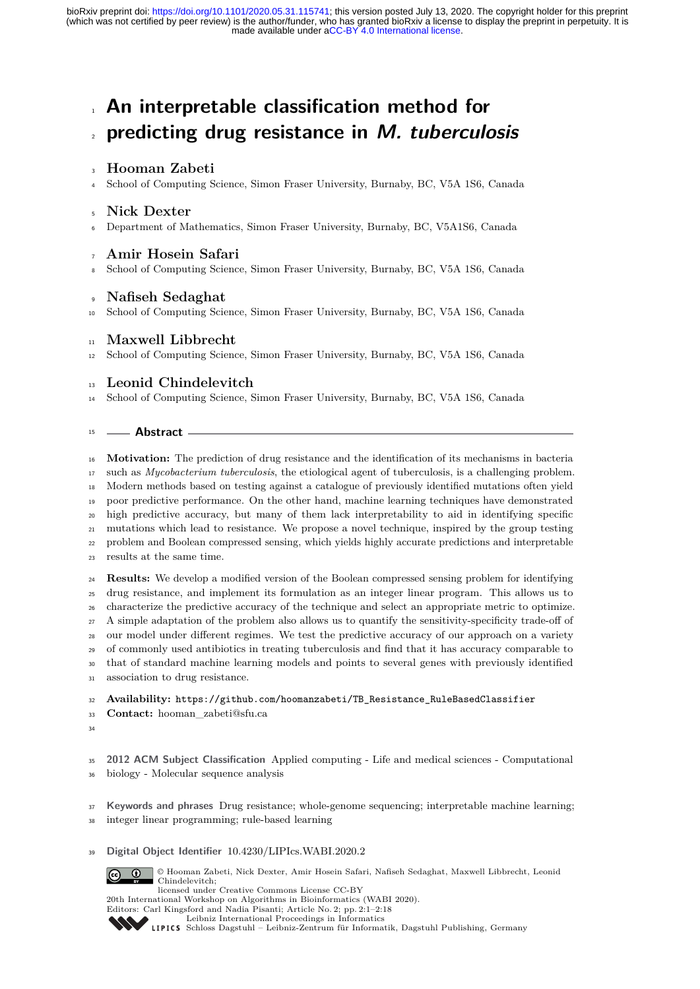## **An interpretable classification method for predicting drug resistance in M. tuberculosis**

## **Hooman Zabeti**

School of Computing Science, Simon Fraser University, Burnaby, BC, V5A 1S6, Canada

#### **Nick Dexter**

Department of Mathematics, Simon Fraser University, Burnaby, BC, V5A1S6, Canada

## **Amir Hosein Safari**

School of Computing Science, Simon Fraser University, Burnaby, BC, V5A 1S6, Canada

## **Nafiseh Sedaghat**

School of Computing Science, Simon Fraser University, Burnaby, BC, V5A 1S6, Canada

#### **Maxwell Libbrecht**

School of Computing Science, Simon Fraser University, Burnaby, BC, V5A 1S6, Canada

## **Leonid Chindelevitch**

School of Computing Science, Simon Fraser University, Burnaby, BC, V5A 1S6, Canada

#### **Abstract**

 **Motivation:** The prediction of drug resistance and the identification of its mechanisms in bacteria such as *Mycobacterium tuberculosis*, the etiological agent of tuberculosis, is a challenging problem. Modern methods based on testing against a catalogue of previously identified mutations often yield poor predictive performance. On the other hand, machine learning techniques have demonstrated high predictive accuracy, but many of them lack interpretability to aid in identifying specific mutations which lead to resistance. We propose a novel technique, inspired by the group testing problem and Boolean compressed sensing, which yields highly accurate predictions and interpretable results at the same time. **Results:** We develop a modified version of the Boolean compressed sensing problem for identifying

 drug resistance, and implement its formulation as an integer linear program. This allows us to characterize the predictive accuracy of the technique and select an appropriate metric to optimize. A simple adaptation of the problem also allows us to quantify the sensitivity-specificity trade-off of our model under different regimes. We test the predictive accuracy of our approach on a variety of commonly used antibiotics in treating tuberculosis and find that it has accuracy comparable to that of standard machine learning models and points to several genes with previously identified association to drug resistance.

**Availability:** [https://github.com/hoomanzabeti/TB\\_Resistance\\_RuleBasedClassifier](https://github.com/hoomanzabeti/TB_Resistance_RuleBasedClassifier)

**Contact:** [hooman\\_zabeti@sfu.ca](hooman_zabeti@sfu.ca)

 **2012 ACM Subject Classification** Applied computing - Life and medical sciences - Computational biology - Molecular sequence analysis

**Keywords and phrases** Drug resistance; whole-genome sequencing; interpretable machine learning;

integer linear programming; rule-based learning

#### **Digital Object Identifier** [10.4230/LIPIcs.WABI.2020.2](https://doi.org/10.4230/LIPIcs.WABI.2020.2)

© Hooman Zabeti, Nick Dexter, Amir Hosein Safari, Nafiseh Sedaghat, Maxwell Libbrecht, Leonid Chindelevitch;

licensed under Creative Commons License CC-BY 20th International Workshop on Algorithms in Bioinformatics (WABI 2020).

Editors: Carl Kingsford and Nadia Pisanti; Article No. 2; pp. 2:1–2[:18](#page-17-0)



 $\left[$ @

[Leibniz International Proceedings in Informatics](https://www.dagstuhl.de/lipics/) [Schloss Dagstuhl – Leibniz-Zentrum für Informatik, Dagstuhl Publishing, Germany](https://www.dagstuhl.de)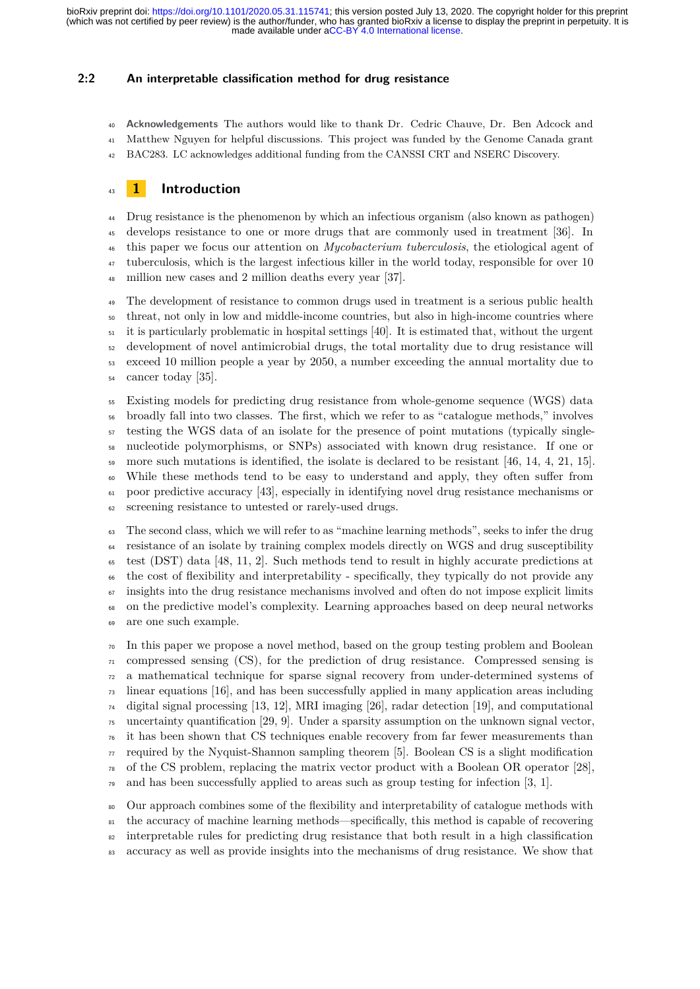#### **2:2 An interpretable classification method for drug resistance**

 **Acknowledgements** The authors would like to thank Dr. Cedric Chauve, Dr. Ben Adcock and Matthew Nguyen for helpful discussions. This project was funded by the Genome Canada grant

BAC283. LC acknowledges additional funding from the CANSSI CRT and NSERC Discovery.

## **1 Introduction**

 Drug resistance is the phenomenon by which an infectious organism (also known as pathogen) develops resistance to one or more drugs that are commonly used in treatment [\[36\]](#page-17-1). In this paper we focus our attention on *Mycobacterium tuberculosis*, the etiological agent of <sup>47</sup> tuberculosis, which is the largest infectious killer in the world today, responsible for over 10 <sup>48</sup> million new cases and 2 million deaths every year [\[37\]](#page-17-2).

 The development of resistance to common drugs used in treatment is a serious public health threat, not only in low and middle-income countries, but also in high-income countries where it is particularly problematic in hospital settings [\[40\]](#page-17-3). It is estimated that, without the urgent development of novel antimicrobial drugs, the total mortality due to drug resistance will exceed 10 million people a year by 2050, a number exceeding the annual mortality due to cancer today [\[35\]](#page-16-0).

 Existing models for predicting drug resistance from whole-genome sequence (WGS) data broadly fall into two classes. The first, which we refer to as "catalogue methods," involves testing the WGS data of an isolate for the presence of point mutations (typically single- nucleotide polymorphisms, or SNPs) associated with known drug resistance. If one or 59 more such mutations is identified, the isolate is declared to be resistant [\[46,](#page-17-4) [14,](#page-15-0) [4,](#page-15-1) [21,](#page-16-1) [15\]](#page-15-2). While these methods tend to be easy to understand and apply, they often suffer from poor predictive accuracy [\[43\]](#page-17-5), especially in identifying novel drug resistance mechanisms or screening resistance to untested or rarely-used drugs.

 The second class, which we will refer to as "machine learning methods", seeks to infer the drug resistance of an isolate by training complex models directly on WGS and drug susceptibility test (DST) data [\[48,](#page-17-6) [11,](#page-15-3) [2\]](#page-15-4). Such methods tend to result in highly accurate predictions at the cost of flexibility and interpretability - specifically, they typically do not provide any insights into the drug resistance mechanisms involved and often do not impose explicit limits on the predictive model's complexity. Learning approaches based on deep neural networks are one such example.

 In this paper we propose a novel method, based on the group testing problem and Boolean compressed sensing (CS), for the prediction of drug resistance. Compressed sensing is a mathematical technique for sparse signal recovery from under-determined systems of linear equations [\[16\]](#page-15-5), and has been successfully applied in many application areas including digital signal processing [\[13,](#page-15-6) [12\]](#page-15-7), MRI imaging [\[26\]](#page-16-2), radar detection [\[19\]](#page-16-3), and computational uncertainty quantification [\[29,](#page-16-4) [9\]](#page-15-8). Under a sparsity assumption on the unknown signal vector, it has been shown that CS techniques enable recovery from far fewer measurements than  $\pi$  required by the Nyquist-Shannon sampling theorem [\[5\]](#page-15-9). Boolean CS is a slight modification of the CS problem, replacing the matrix vector product with a Boolean OR operator [\[28\]](#page-16-5),  $\sigma$  and has been successfully applied to areas such as group testing for infection [\[3,](#page-15-10) [1\]](#page-14-0).

 Our approach combines some of the flexibility and interpretability of catalogue methods with <sup>81</sup> the accuracy of machine learning methods—specifically, this method is capable of recovering <sup>82</sup> interpretable rules for predicting drug resistance that both result in a high classification 83 accuracy as well as provide insights into the mechanisms of drug resistance. We show that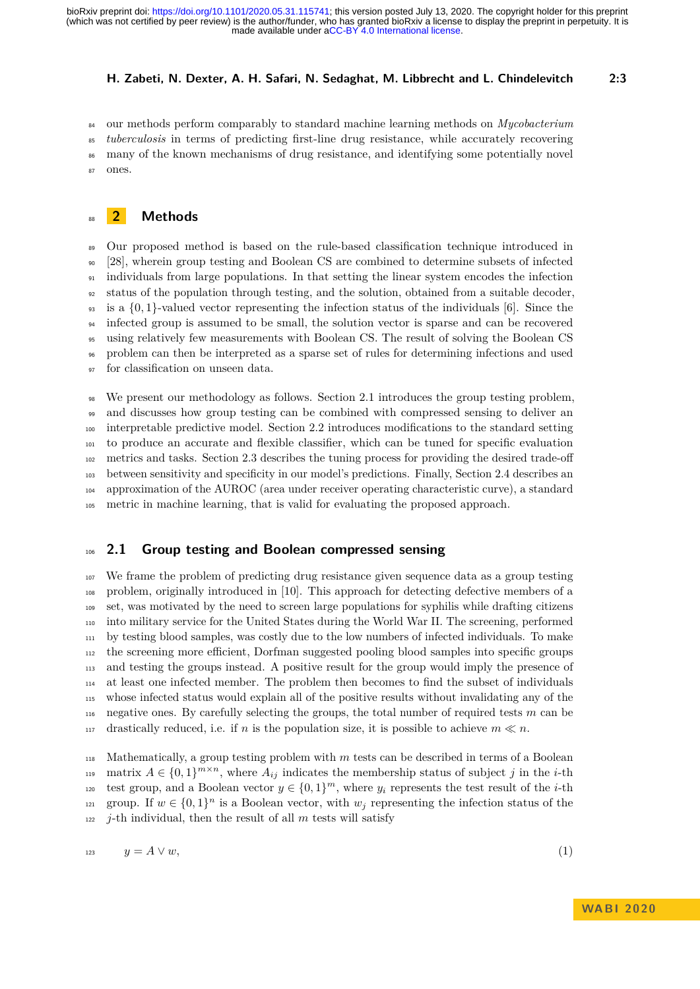our methods perform comparably to standard machine learning methods on *Mycobacterium tuberculosis* in terms of predicting first-line drug resistance, while accurately recovering many of the known mechanisms of drug resistance, and identifying some potentially novel ones.

## **2 Methods**

<sup>89</sup> Our proposed method is based on the rule-based classification technique introduced in [\[28\]](#page-16-5), wherein group testing and Boolean CS are combined to determine subsets of infected individuals from large populations. In that setting the linear system encodes the infection status of the population through testing, and the solution, obtained from a suitable decoder, is a {0*,* 1}-valued vector representing the infection status of the individuals [\[6\]](#page-15-11). Since the infected group is assumed to be small, the solution vector is sparse and can be recovered using relatively few measurements with Boolean CS. The result of solving the Boolean CS problem can then be interpreted as a sparse set of rules for determining infections and used for classification on unseen data.

 We present our methodology as follows. Section [2.1](#page-2-0) introduces the group testing problem, and discusses how group testing can be combined with compressed sensing to deliver an interpretable predictive model. Section [2.2](#page-4-0) introduces modifications to the standard setting to produce an accurate and flexible classifier, which can be tuned for specific evaluation metrics and tasks. Section [2.3](#page-6-0) describes the tuning process for providing the desired trade-off between sensitivity and specificity in our model's predictions. Finally, Section [2.4](#page-6-1) describes an approximation of the AUROC (area under receiver operating characteristic curve), a standard metric in machine learning, that is valid for evaluating the proposed approach.

#### <span id="page-2-0"></span>**2.1 Group testing and Boolean compressed sensing**

 We frame the problem of predicting drug resistance given sequence data as a group testing problem, originally introduced in [\[10\]](#page-15-12). This approach for detecting defective members of a set, was motivated by the need to screen large populations for syphilis while drafting citizens into military service for the United States during the World War II. The screening, performed by testing blood samples, was costly due to the low numbers of infected individuals. To make the screening more efficient, Dorfman suggested pooling blood samples into specific groups and testing the groups instead. A positive result for the group would imply the presence of at least one infected member. The problem then becomes to find the subset of individuals whose infected status would explain all of the positive results without invalidating any of the negative ones. By carefully selecting the groups, the total number of required tests *m* can be drastically reduced, i.e. if *n* is the population size, it is possible to achieve  $m \ll n$ .

 Mathematically, a group testing problem with *m* tests can be described in terms of a Boolean  $A \in \{0,1\}^{m \times n}$ , where  $A_{ij}$  indicates the membership status of subject *j* in the *i*-th test group, and a Boolean vector  $y \in \{0,1\}^m$ , where  $y_i$  represents the test result of the *i*-th <sup>121</sup> group. If  $w \in \{0,1\}^n$  is a Boolean vector, with  $w_j$  representing the infection status of the *j*-th individual, then the result of all *m* tests will satisfy

$$
y = A \vee w,\tag{1}
$$

<span id="page-2-1"></span>

**WA B I 2 0 2 0**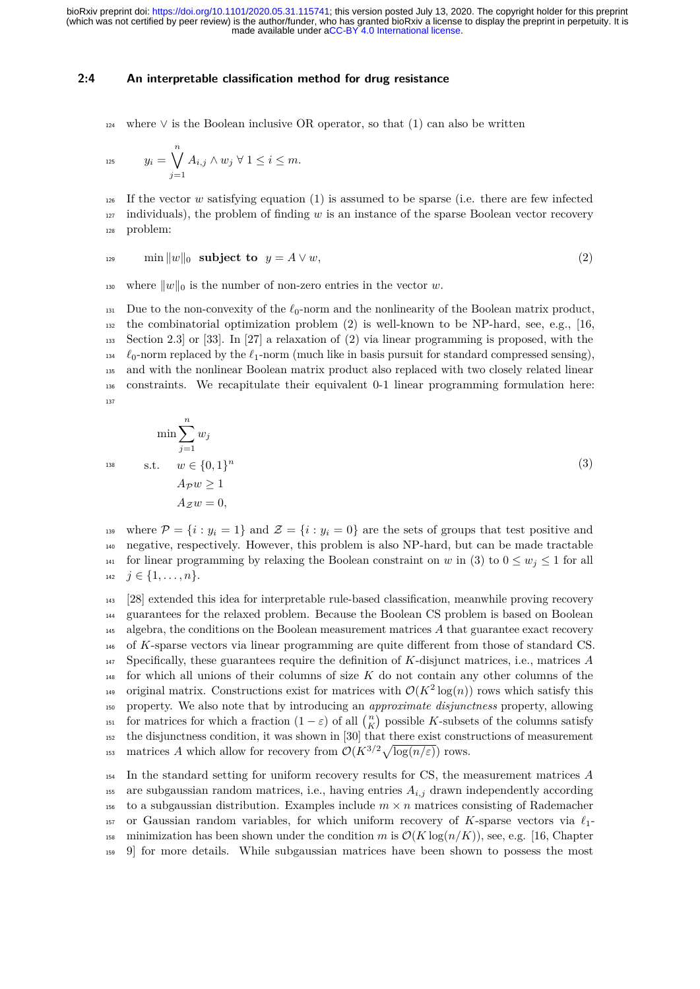#### **2:4 An interpretable classification method for drug resistance**

 $_{124}$  where  $\vee$  is the Boolean inclusive OR operator, so that [\(1\)](#page-2-1) can also be written

$$
y_i = \bigvee_{j=1}^n A_{i,j} \wedge w_j \ \forall \ 1 \leq i \leq m.
$$

<span id="page-3-0"></span><sup>126</sup> If the vector *w* satisfying equation [\(1\)](#page-2-1) is assumed to be sparse (i.e. there are few infected  $127$  individuals), the problem of finding *w* is an instance of the sparse Boolean vector recovery <sup>128</sup> problem:

$$
\min \|w\|_0 \quad \text{subject to} \quad y = A \lor w,\tag{2}
$$

<sup>130</sup> where  $||w||_0$  is the number of non-zero entries in the vector *w*.

131 Due to the non-convexity of the  $\ell_0$ -norm and the nonlinearity of the Boolean matrix product,  $_{132}$  the combinatorial optimization problem [\(2\)](#page-3-0) is well-known to be NP-hard, see, e.g., [\[16,](#page-15-5) <sup>133</sup> Section 2.3] or [\[33\]](#page-16-6). In [\[27\]](#page-16-7) a relaxation of [\(2\)](#page-3-0) via linear programming is proposed, with the  $\ell_0$ -norm replaced by the  $\ell_1$ -norm (much like in basis pursuit for standard compressed sensing), <sup>135</sup> and with the nonlinear Boolean matrix product also replaced with two closely related linear <sup>136</sup> constraints. We recapitulate their equivalent 0-1 linear programming formulation here: 137

<span id="page-3-1"></span>
$$
\min \sum_{j=1}^{n} w_j
$$
  
s.t.  $w \in \{0, 1\}^n$   
 $A_{\mathcal{P}} w \ge 1$   
 $A_{\mathcal{Z}} w = 0$ , (3)

139 where  $\mathcal{P} = \{i : y_i = 1\}$  and  $\mathcal{Z} = \{i : y_i = 0\}$  are the sets of groups that test positive and <sup>140</sup> negative, respectively. However, this problem is also NP-hard, but can be made tractable 141 for linear programming by relaxing the Boolean constraint on *w* in [\(3\)](#page-3-1) to  $0 \leq w_j \leq 1$  for all 142  $j \in \{1, \ldots, n\}.$ 

 [\[28\]](#page-16-5) extended this idea for interpretable rule-based classification, meanwhile proving recovery guarantees for the relaxed problem. Because the Boolean CS problem is based on Boolean algebra, the conditions on the Boolean measurement matrices *A* that guarantee exact recovery of *K*-sparse vectors via linear programming are quite different from those of standard CS. Specifically, these guarantees require the definition of *K*-disjunct matrices, i.e., matrices *A* for which all unions of their columns of size *K* do not contain any other columns of the original matrix. Constructions exist for matrices with  $\mathcal{O}(K^2 \log(n))$  rows which satisfy this property. We also note that by introducing an *approximate disjunctness* property, allowing for matrices for which a fraction  $(1 - \varepsilon)$  of all  $\binom{n}{K}$  possible *K*-subsets of the columns satisfy the disjunctness condition, it was shown in [\[30\]](#page-16-8) that there exist constructions of measurement matrices *A* which allow for recovery from  $\mathcal{O}(K^{3/2}\sqrt{\log(n/\varepsilon)})$  rows.

<sup>154</sup> In the standard setting for uniform recovery results for CS, the measurement matrices *A* 155 are subgaussian random matrices, i.e., having entries  $A_{i,j}$  drawn independently according 156 to a subgaussian distribution. Examples include  $m \times n$  matrices consisting of Rademacher <sup>157</sup> or Gaussian random variables, for which uniform recovery of K-sparse vectors via  $\ell_1$ -158 minimization has been shown under the condition *m* is  $\mathcal{O}(K \log(n/K))$ , see, e.g. [\[16,](#page-15-5) Chapter <sup>159</sup> 9] for more details. While subgaussian matrices have been shown to possess the most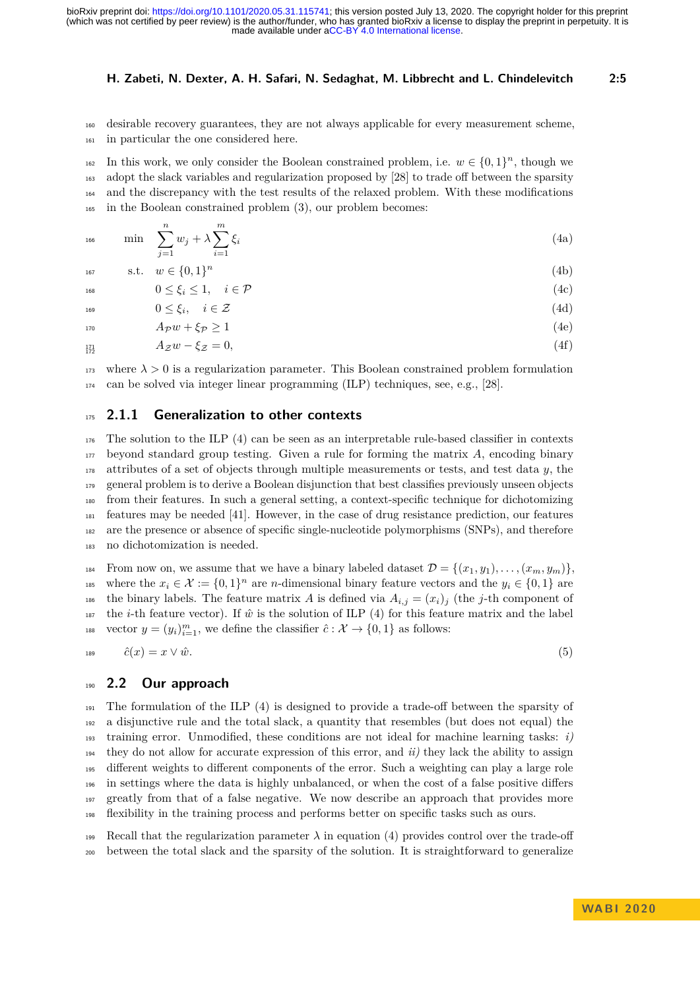<sup>160</sup> desirable recovery guarantees, they are not always applicable for every measurement scheme, <sup>161</sup> in particular the one considered here.

In this work, we only consider the Boolean constrained problem, i.e.  $w \in \{0,1\}^n$ , though we adopt the slack variables and regularization proposed by [\[28\]](#page-16-5) to trade off between the sparsity and the discrepancy with the test results of the relaxed problem. With these modifications in the Boolean constrained problem [\(3\)](#page-3-1), our problem becomes:

<span id="page-4-1"></span>
$$
\min \sum_{j=1}^{n} w_j + \lambda \sum_{i=1}^{m} \xi_i
$$
\n(4a)

s.t. *w* ∈ {0*,* 1} *n* <sup>167</sup> (4b)

<span id="page-4-2"></span>
$$
0 \le \xi_i \le 1, \quad i \in \mathcal{P} \tag{4c}
$$

<span id="page-4-3"></span> $0 \leq \xi_i, \quad i \in \mathcal{Z}$  (4d) 170  $A \tau w + \xi \tau \ge 1$  (4e)

$$
A_{\mathcal{Z}}w - \xi_{\mathcal{Z}} = 0,
$$
\n
$$
(4f)
$$
\n
$$
A_{\mathcal{Z}}w - \xi_{\mathcal{Z}} = 0,
$$

<sup>173</sup> where  $\lambda > 0$  is a regularization parameter. This Boolean constrained problem formulation <sup>174</sup> can be solved via integer linear programming (ILP) techniques, see, e.g., [\[28\]](#page-16-5).

#### <sup>175</sup> **2.1.1 Generalization to other contexts**

 The solution to the ILP [\(4\)](#page-4-1) can be seen as an interpretable rule-based classifier in contexts beyond standard group testing. Given a rule for forming the matrix *A*, encoding binary attributes of a set of objects through multiple measurements or tests, and test data *y*, the general problem is to derive a Boolean disjunction that best classifies previously unseen objects from their features. In such a general setting, a context-specific technique for dichotomizing features may be needed [\[41\]](#page-17-7). However, in the case of drug resistance prediction, our features are the presence or absence of specific single-nucleotide polymorphisms (SNPs), and therefore no dichotomization is needed.

184 From now on, we assume that we have a binary labeled dataset  $\mathcal{D} = \{(x_1, y_1), \ldots, (x_m, y_m)\}\$ <sup>185</sup> where the  $x_i \in \mathcal{X} := \{0,1\}^n$  are *n*-dimensional binary feature vectors and the  $y_i \in \{0,1\}$  are <sup>186</sup> the binary labels. The feature matrix *A* is defined via  $A_{i,j} = (x_i)_j$  (the *j*-th component of <sup>187</sup> the *i*-th feature vector). If  $\hat{w}$  is the solution of ILP [\(4\)](#page-4-1) for this feature matrix and the label <sup>188</sup> vector  $y = (y_i)_{i=1}^m$ , we define the classifier  $\hat{c}: \mathcal{X} \to \{0,1\}$  as follows:

$$
\hat{c}(x) = x \vee \hat{w}.\tag{5}
$$

## <span id="page-4-0"></span><sup>190</sup> **2.2 Our approach**

 The formulation of the ILP [\(4\)](#page-4-1) is designed to provide a trade-off between the sparsity of a disjunctive rule and the total slack, a quantity that resembles (but does not equal) the  $_{193}$  training error. Unmodified, these conditions are not ideal for machine learning tasks: *i*) they do not allow for accurate expression of this error, and *ii)* they lack the ability to assign different weights to different components of the error. Such a weighting can play a large role in settings where the data is highly unbalanced, or when the cost of a false positive differs greatly from that of a false negative. We now describe an approach that provides more flexibility in the training process and performs better on specific tasks such as ours.

199 Recall that the regularization parameter  $\lambda$  in equation [\(4\)](#page-4-1) provides control over the trade-off <sup>200</sup> between the total slack and the sparsity of the solution. It is straightforward to generalize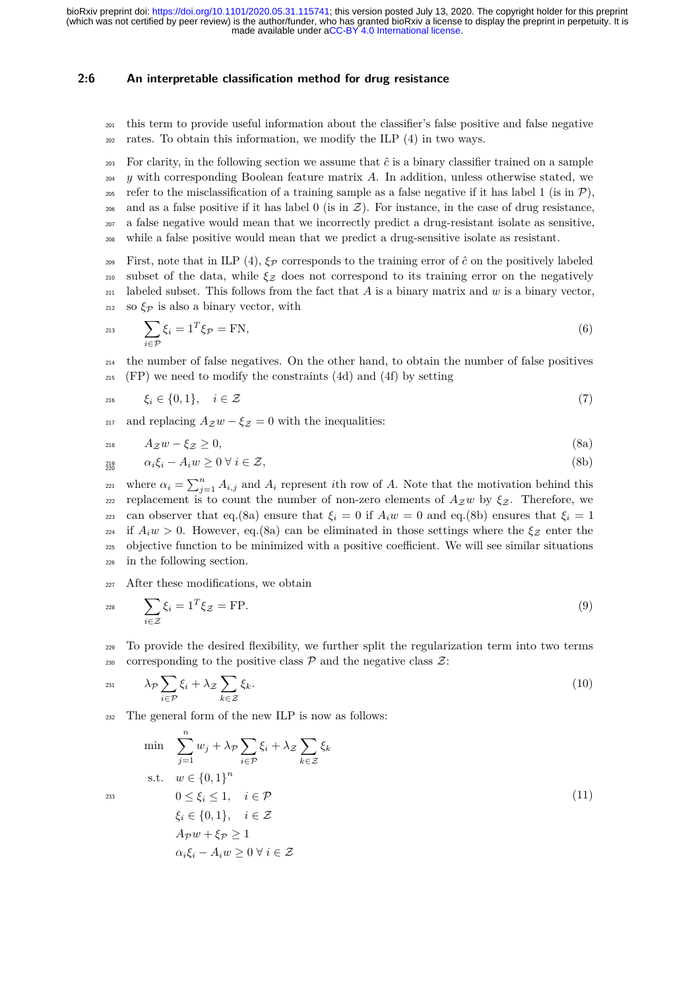#### **2:6 An interpretable classification method for drug resistance**

- <sup>201</sup> this term to provide useful information about the classifier's false positive and false negative  $_{202}$  rates. To obtain this information, we modify the ILP [\(4\)](#page-4-1) in two ways.
- <sup>203</sup> For clarity, in the following section we assume that  $\hat{c}$  is a binary classifier trained on a sample <sup>204</sup> *y* with corresponding Boolean feature matrix *A*. In addition, unless otherwise stated, we 205 refer to the misclassification of a training sample as a false negative if it has label 1 (is in  $\mathcal{P}$ ), 206 and as a false positive if it has label 0 (is in  $\mathcal{Z}$ ). For instance, in the case of drug resistance, <sup>207</sup> a false negative would mean that we incorrectly predict a drug-resistant isolate as sensitive, <sup>208</sup> while a false positive would mean that we predict a drug-sensitive isolate as resistant.
- <sup>209</sup> First, note that in ILP [\(4\)](#page-4-1),  $\xi_{\mathcal{P}}$  corresponds to the training error of  $\hat{c}$  on the positively labeled <sup>210</sup> subset of the data, while  $\xi$ <sub>Z</sub> does not correspond to its training error on the negatively <sup>211</sup> labeled subset. This follows from the fact that *A* is a binary matrix and *w* is a binary vector, <sup>212</sup> so  $\xi_{\mathcal{P}}$  is also a binary vector, with

<span id="page-5-4"></span>
$$
\sum_{i \in \mathcal{P}} \xi_i = 1^T \xi_{\mathcal{P}} = \text{FN},\tag{6}
$$

<sup>214</sup> the number of false negatives. On the other hand, to obtain the number of false positives <sup>215</sup> (FP) we need to modify the constraints [\(4d\)](#page-4-2) and [\(4f\)](#page-4-3) by setting

$$
z_{16} \qquad \xi_i \in \{0, 1\}, \quad i \in \mathcal{Z} \tag{7}
$$

<span id="page-5-0"></span>217 and replacing  $A_Z w - \xi_Z = 0$  with the inequalities:

$$
A_{\mathcal{Z}}w - \xi_{\mathcal{Z}} \ge 0,\tag{8a}
$$

$$
\alpha_i \xi_i - A_i w \ge 0 \,\forall \, i \in \mathcal{Z},\tag{8b}
$$

<span id="page-5-1"></span><sup>221</sup> where  $\alpha_i = \sum_{j=1}^n A_{i,j}$  and  $A_i$  represent *i*th row of *A*. Note that the motivation behind this <sup>222</sup> replacement is to count the number of non-zero elements of  $A_Z w$  by  $ξ_Z$ . Therefore, we 223 can observer that eq.[\(8a\)](#page-5-0) ensure that  $\xi_i = 0$  if  $A_i w = 0$  and eq.[\(8b\)](#page-5-1) ensures that  $\xi_i = 1$ <sup>224</sup> if  $A_i w > 0$ . However, eq.[\(8a\)](#page-5-0) can be eliminated in those settings where the  $\xi$ <sub>Z</sub> enter the <sup>225</sup> objective function to be minimized with a positive coefficient. We will see similar situations <sup>226</sup> in the following section.

<sup>227</sup> After these modifications, we obtain

$$
\sum_{i \in \mathcal{Z}} \xi_i = 1^T \xi_{\mathcal{Z}} = \text{FP}.\tag{9}
$$

<span id="page-5-3"></span><sup>229</sup> To provide the desired flexibility, we further split the regularization term into two terms 230 corresponding to the positive class  $P$  and the negative class  $\mathcal{Z}$ :

$$
\lambda_{\mathcal{P}} \sum_{i \in \mathcal{P}} \xi_i + \lambda_{\mathcal{Z}} \sum_{k \in \mathcal{Z}} \xi_k. \tag{10}
$$

<sup>232</sup> The general form of the new ILP is now as follows:

<span id="page-5-2"></span>
$$
\min \sum_{j=1}^{n} w_j + \lambda_{\mathcal{P}} \sum_{i \in \mathcal{P}} \xi_i + \lambda_{\mathcal{Z}} \sum_{k \in \mathcal{Z}} \xi_k
$$
\n
$$
\text{s.t.} \quad w \in \{0, 1\}^n
$$
\n
$$
0 \le \xi_i \le 1, \quad i \in \mathcal{P}
$$
\n
$$
\xi_i \in \{0, 1\}, \quad i \in \mathcal{Z}
$$
\n
$$
A_{\mathcal{P}} w + \xi_{\mathcal{P}} \ge 1
$$
\n
$$
\alpha_i \xi_i - A_i w \ge 0 \ \forall \ i \in \mathcal{Z}
$$
\n
$$
(11)
$$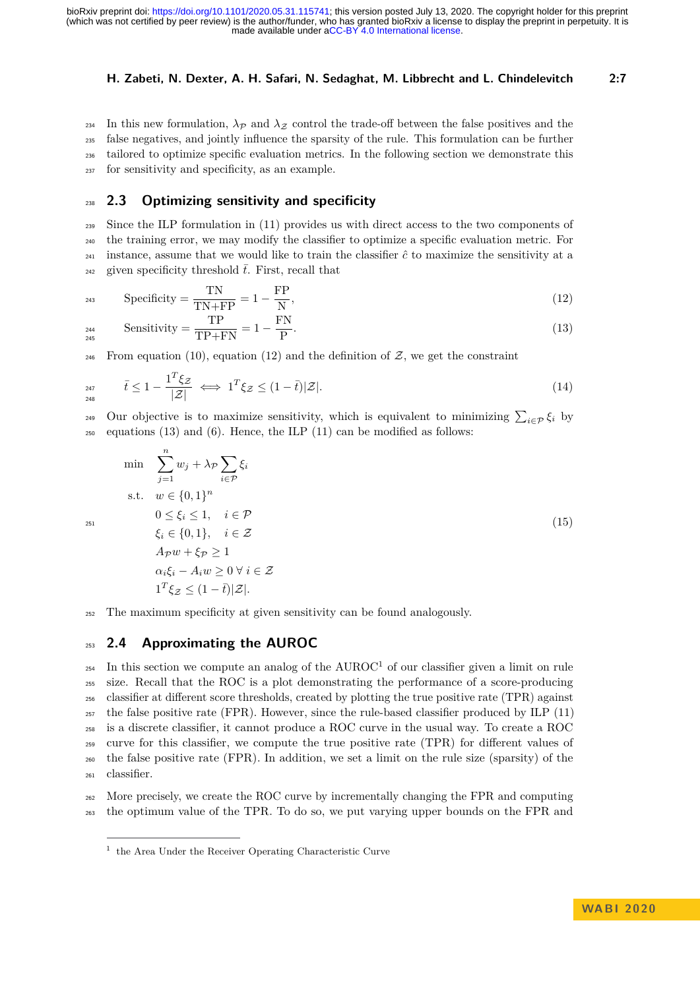234 In this new formulation,  $\lambda_{\mathcal{P}}$  and  $\lambda_{\mathcal{Z}}$  control the trade-off between the false positives and the false negatives, and jointly influence the sparsity of the rule. This formulation can be further tailored to optimize specific evaluation metrics. In the following section we demonstrate this for sensitivity and specificity, as an example.

## <span id="page-6-0"></span><sup>238</sup> **2.3 Optimizing sensitivity and specificity**

<sup>239</sup> Since the ILP formulation in [\(11\)](#page-5-2) provides us with direct access to the two components of <sup>240</sup> the training error, we may modify the classifier to optimize a specific evaluation metric. For <sup>241</sup> instance, assume that we would like to train the classifier  $\hat{c}$  to maximize the sensitivity at a <sup>242</sup> given specificity threshold  $\bar{t}$ . First, recall that

$$
Specificity = \frac{TN}{TN + FP} = 1 - \frac{FP}{N},\tag{12}
$$

<span id="page-6-3"></span><span id="page-6-2"></span>
$$
Sensitivity = \frac{TP}{TP + FN} = 1 - \frac{FN}{P}.
$$
\n(13)

<sup>246</sup> From equation [\(10\)](#page-5-3), equation [\(12\)](#page-6-2) and the definition of  $\mathcal{Z}$ , we get the constraint

<span id="page-6-6"></span>
$$
\bar{t} \le 1 - \frac{\mathbf{1}^T \xi \mathbf{z}}{|\mathbf{z}|} \iff \mathbf{1}^T \xi \mathbf{z} \le (1 - \bar{t}) |\mathbf{z}|. \tag{14}
$$

 $249$  Our objective is to maximize sensitivity, which is equivalent to minimizing  $\sum_{i \in \mathcal{P}} \xi_i$  by  $_{250}$  equations [\(13\)](#page-6-3) and [\(6\)](#page-5-4). Hence, the ILP [\(11\)](#page-5-2) can be modified as follows:

<span id="page-6-5"></span>
$$
\min \sum_{j=1}^{n} w_j + \lambda_p \sum_{i \in \mathcal{P}} \xi_i
$$
\n
$$
\text{s.t.} \quad w \in \{0, 1\}^n
$$
\n
$$
0 \le \xi_i \le 1, \quad i \in \mathcal{P}
$$
\n
$$
\xi_i \in \{0, 1\}, \quad i \in \mathcal{Z}
$$
\n
$$
A_{\mathcal{P}} w + \xi_{\mathcal{P}} \ge 1
$$
\n
$$
\alpha_i \xi_i - A_i w \ge 0 \ \forall \ i \in \mathcal{Z}
$$
\n
$$
1^T \xi_{\mathcal{Z}} \le (1 - \overline{t}) |\mathcal{Z}|.
$$
\n
$$
(15)
$$

<sup>252</sup> The maximum specificity at given sensitivity can be found analogously.

## <span id="page-6-1"></span><sup>253</sup> **2.4 Approximating the AUROC**

 $_{254}$  In this section we compute an analog of the AUROC<sup>[1](#page-6-4)</sup> of our classifier given a limit on rule size. Recall that the ROC is a plot demonstrating the performance of a score-producing classifier at different score thresholds, created by plotting the true positive rate (TPR) against the false positive rate (FPR). However, since the rule-based classifier produced by ILP [\(11\)](#page-5-2) is a discrete classifier, it cannot produce a ROC curve in the usual way. To create a ROC curve for this classifier, we compute the true positive rate (TPR) for different values of the false positive rate (FPR). In addition, we set a limit on the rule size (sparsity) of the classifier.

<sup>262</sup> More precisely, we create the ROC curve by incrementally changing the FPR and computing <sup>263</sup> the optimum value of the TPR. To do so, we put varying upper bounds on the FPR and

<span id="page-6-4"></span><sup>&</sup>lt;sup>1</sup> the Area Under the Receiver Operating Characteristic Curve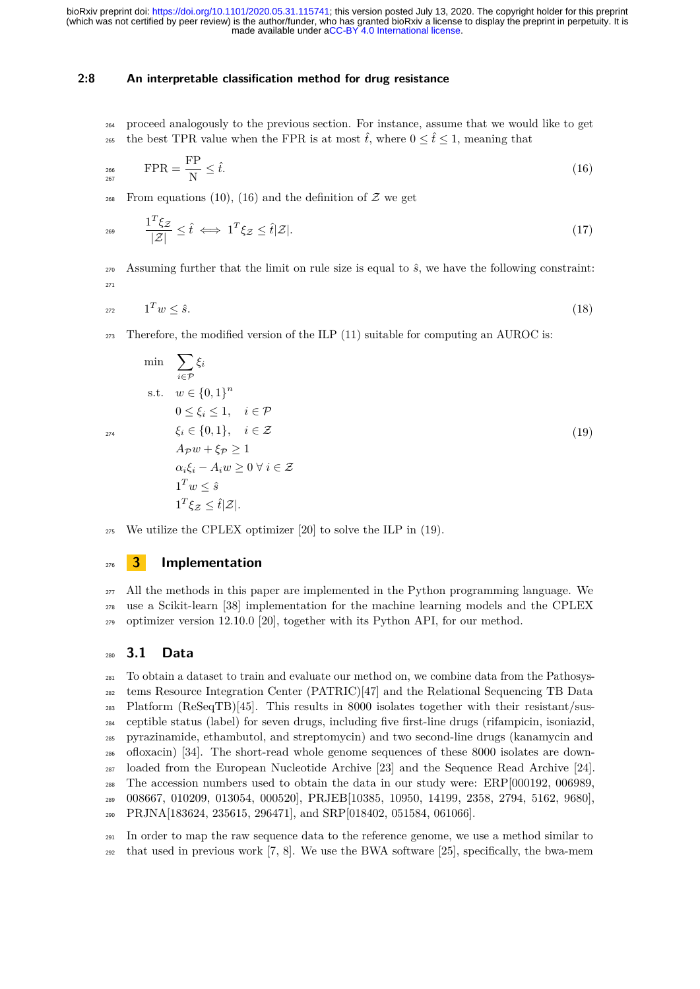#### **2:8 An interpretable classification method for drug resistance**

<sup>264</sup> proceed analogously to the previous section. For instance, assume that we would like to get <sup>265</sup> the best TPR value when the FPR is at most  $\hat{t}$ , where  $0 \leq \hat{t} \leq 1$ , meaning that

<span id="page-7-0"></span>
$$
FPR = \frac{FP}{N} \le \hat{t}.\tag{16}
$$

<span id="page-7-2"></span><sup>268</sup> From equations [\(10\)](#page-5-3), [\(16\)](#page-7-0) and the definition of  $\mathcal Z$  we get

$$
\frac{1^T \xi z}{|\mathcal{Z}|} \leq \hat{t} \iff 1^T \xi z \leq \hat{t} |\mathcal{Z}|. \tag{17}
$$

270 Assuming further that the limit on rule size is equal to  $\hat{s}$ , we have the following constraint: 271

<span id="page-7-1"></span>
$$
1^T w \leq \hat{s}.\tag{18}
$$

 $_{273}$  Therefore, the modified version of the ILP [\(11\)](#page-5-2) suitable for computing an AUROC is:

$$
\min \sum_{i \in \mathcal{P}} \xi_i
$$
\n
$$
\text{s.t.} \quad w \in \{0, 1\}^n
$$
\n
$$
0 \le \xi_i \le 1, \quad i \in \mathcal{P}
$$
\n
$$
\xi_i \in \{0, 1\}, \quad i \in \mathcal{Z}
$$
\n
$$
A_{\mathcal{P}}w + \xi_{\mathcal{P}} \ge 1
$$
\n
$$
\alpha_i \xi_i - A_i w \ge 0 \ \forall \ i \in \mathcal{Z}
$$
\n
$$
1^T w \le \hat{s}
$$
\n
$$
1^T \xi_{\mathcal{Z}} \le \hat{t} |\mathcal{Z}|.
$$
\n
$$
(19)
$$

$$
_{275}
$$
 We utilize the CPLEX optimizer [20] to solve the ILP in (19).

## <sup>276</sup> **3 Implementation**

<sup>277</sup> All the methods in this paper are implemented in the Python programming language. We <sup>278</sup> use a Scikit-learn [\[38\]](#page-17-8) implementation for the machine learning models and the CPLEX <sup>279</sup> optimizer version 12.10.0 [\[20\]](#page-16-9), together with its Python API, for our method.

#### <sup>280</sup> **3.1 Data**

 To obtain a dataset to train and evaluate our method on, we combine data from the Pathosys- tems Resource Integration Center (PATRIC)[\[47\]](#page-17-9) and the Relational Sequencing TB Data Platform (ReSeqTB)[\[45\]](#page-17-10). This results in 8000 isolates together with their resistant/sus- ceptible status (label) for seven drugs, including five first-line drugs (rifampicin, isoniazid, pyrazinamide, ethambutol, and streptomycin) and two second-line drugs (kanamycin and ofloxacin) [\[34\]](#page-16-10). The short-read whole genome sequences of these 8000 isolates are down- loaded from the European Nucleotide Archive [\[23\]](#page-16-11) and the Sequence Read Archive [\[24\]](#page-16-12). The accession numbers used to obtain the data in our study were: ERP[000192, 006989, 008667, 010209, 013054, 000520], PRJEB[10385, 10950, 14199, 2358, 2794, 5162, 9680], PRJNA[183624, 235615, 296471], and SRP[018402, 051584, 061066].

<sup>291</sup> In order to map the raw sequence data to the reference genome, we use a method similar to <sup>292</sup> that used in previous work [\[7,](#page-15-13) [8\]](#page-15-14). We use the BWA software [\[25\]](#page-16-13), specifically, the bwa-mem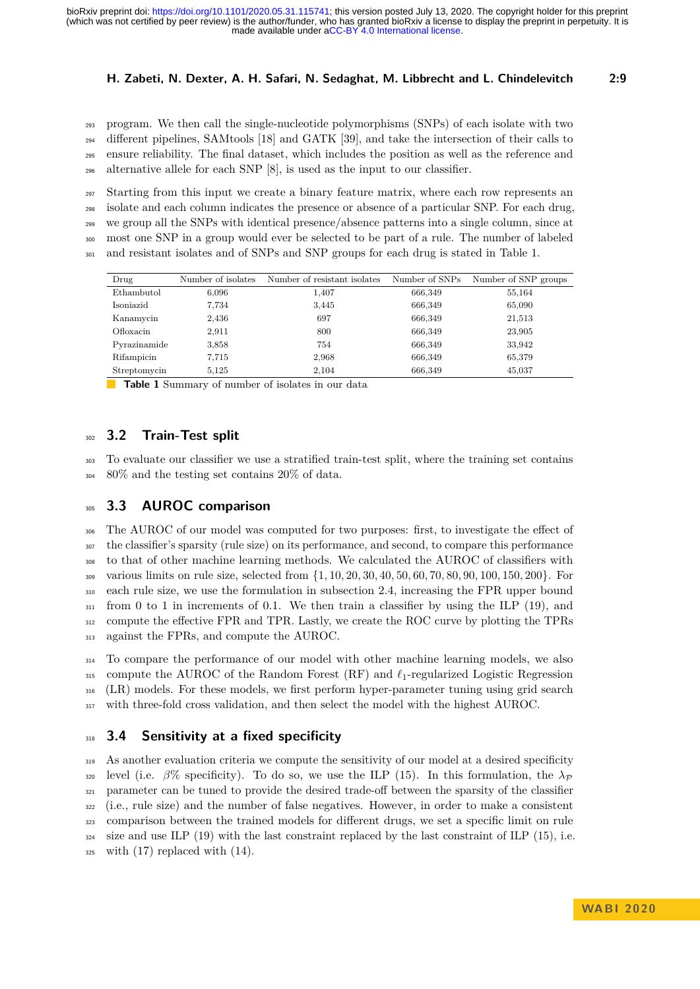program. We then call the single-nucleotide polymorphisms (SNPs) of each isolate with two different pipelines, SAMtools [\[18\]](#page-15-15) and GATK [\[39\]](#page-17-11), and take the intersection of their calls to ensure reliability. The final dataset, which includes the position as well as the reference and alternative allele for each SNP  $[8]$ , is used as the input to our classifier.

 Starting from this input we create a binary feature matrix, where each row represents an isolate and each column indicates the presence or absence of a particular SNP. For each drug, we group all the SNPs with identical presence/absence patterns into a single column, since at most one SNP in a group would ever be selected to be part of a rule. The number of labeled and resistant isolates and of SNPs and SNP groups for each drug is stated in Table [1.](#page-8-0)

<span id="page-8-0"></span>

| Drug         | Number of isolates | Number of resistant isolates | Number of SNPs | Number of SNP groups |
|--------------|--------------------|------------------------------|----------------|----------------------|
| Ethambutol   | 6,096              | 1,407                        | 666,349        | 55,164               |
| Isoniazid    | 7.734              | 3,445                        | 666,349        | 65,090               |
| Kanamycin    | 2,436              | 697                          | 666,349        | 21,513               |
| Ofloxacin    | 2,911              | 800                          | 666,349        | 23,905               |
| Pyrazinamide | 3,858              | 754                          | 666,349        | 33,942               |
| Rifampicin   | 7.715              | 2,968                        | 666,349        | 65,379               |
| Streptomycin | 5,125              | 2,104                        | 666,349        | 45,037               |

**Table 1** Summary of number of isolates in our data

## **3.2 Train-Test split**

 To evaluate our classifier we use a stratified train-test split, where the training set contains 80% and the testing set contains 20% of data.

## <span id="page-8-1"></span>**3.3 AUROC comparison**

 The AUROC of our model was computed for two purposes: first, to investigate the effect of the classifier's sparsity (rule size) on its performance, and second, to compare this performance to that of other machine learning methods. We calculated the AUROC of classifiers with various limits on rule size, selected from {1*,* 10*,* 20*,* 30*,* 40*,* 50*,* 60*,* 70*,* 80*,* 90*,* 100*,* 150*,* 200}. For each rule size, we use the formulation in subsection [2.4,](#page-6-1) increasing the FPR upper bound from 0 to 1 in increments of 0*.*1. We then train a classifier by using the ILP [\(19\)](#page-7-1), and compute the effective FPR and TPR. Lastly, we create the ROC curve by plotting the TPRs against the FPRs, and compute the AUROC.

 To compare the performance of our model with other machine learning models, we also 315 compute the AUROC of the Random Forest  $(RF)$  and  $\ell_1$ -regularized Logistic Regression (LR) models. For these models, we first perform hyper-parameter tuning using grid search 317 with three-fold cross validation, and then select the model with the highest AUROC.

#### **3.4 Sensitivity at a fixed specificity**

 As another evaluation criteria we compute the sensitivity of our model at a desired specificity <sup>320</sup> level (i.e.  $\beta\%$  specificity). To do so, we use the ILP [\(15\)](#page-6-5). In this formulation, the  $\lambda_{\mathcal{P}}$  parameter can be tuned to provide the desired trade-off between the sparsity of the classifier (i.e., rule size) and the number of false negatives. However, in order to make a consistent comparison between the trained models for different drugs, we set a specific limit on rule size and use ILP [\(19\)](#page-7-1) with the last constraint replaced by the last constraint of ILP [\(15\)](#page-6-5), i.e. with  $(17)$  replaced with  $(14)$ .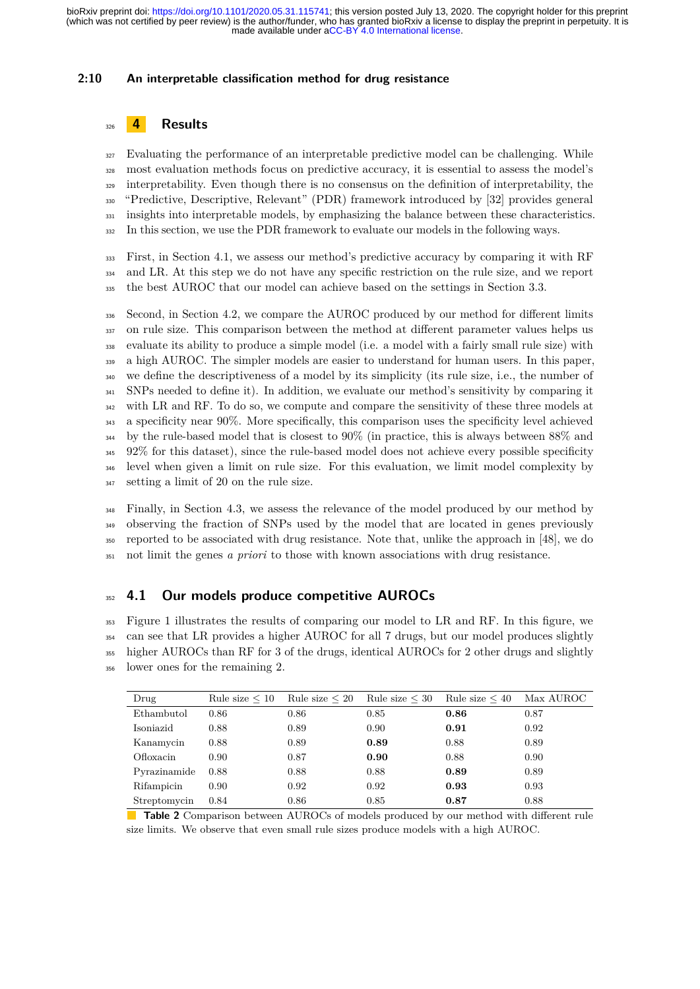#### **2:10 An interpretable classification method for drug resistance**

## <sup>326</sup> **4 Results**

 Evaluating the performance of an interpretable predictive model can be challenging. While most evaluation methods focus on predictive accuracy, it is essential to assess the model's interpretability. Even though there is no consensus on the definition of interpretability, the "Predictive, Descriptive, Relevant" (PDR) framework introduced by [\[32\]](#page-16-14) provides general 331 insights into interpretable models, by emphasizing the balance between these characteristics. In this section, we use the PDR framework to evaluate our models in the following ways.

<sup>333</sup> First, in Section [4.1,](#page-9-0) we assess our method's predictive accuracy by comparing it with RF <sup>334</sup> and LR. At this step we do not have any specific restriction on the rule size, and we report <sup>335</sup> the best AUROC that our model can achieve based on the settings in Section [3.3.](#page-8-1)

336 Second, in Section [4.2,](#page-11-0) we compare the AUROC produced by our method for different limits <sup>337</sup> on rule size. This comparison between the method at different parameter values helps us evaluate its ability to produce a simple model (i.e. a model with a fairly small rule size) with 339 a high AUROC. The simpler models are easier to understand for human users. In this paper, we define the descriptiveness of a model by its simplicity (its rule size, i.e., the number of SNPs needed to define it). In addition, we evaluate our method's sensitivity by comparing it <sup>342</sup> with LR and RF. To do so, we compute and compare the sensitivity of these three models at a specificity near 90%. More specifically, this comparison uses the specificity level achieved by the rule-based model that is closest to 90% (in practice, this is always between 88% and 92% for this dataset), since the rule-based model does not achieve every possible specificity level when given a limit on rule size. For this evaluation, we limit model complexity by setting a limit of 20 on the rule size.

<sup>348</sup> Finally, in Section [4.3,](#page-13-0) we assess the relevance of the model produced by our method by observing the fraction of SNPs used by the model that are located in genes previously reported to be associated with drug resistance. Note that, unlike the approach in [\[48\]](#page-17-6), we do not limit the genes *a priori* to those with known associations with drug resistance.

## <span id="page-9-0"></span><sup>352</sup> **4.1 Our models produce competitive AUROCs**

 Figure [1](#page-10-0) illustrates the results of comparing our model to LR and RF. In this figure, we can see that LR provides a higher AUROC for all 7 drugs, but our model produces slightly higher AUROCs than RF for 3 of the drugs, identical AUROCs for 2 other drugs and slightly lower ones for the remaining 2.

<span id="page-9-1"></span>

| Drug         | Rule size $\leq 10$ | Rule size $\leq 20$ | Rule size $\leq 30$ | Rule size $\leq 40$ | Max AUROC |
|--------------|---------------------|---------------------|---------------------|---------------------|-----------|
| Ethambutol   | 0.86                | 0.86                | 0.85                | 0.86                | 0.87      |
| Isoniazid    | 0.88                | 0.89                | 0.90                | 0.91                | 0.92      |
| Kanamycin    | 0.88                | 0.89                | 0.89                | 0.88                | 0.89      |
| Ofloxacin    | 0.90                | 0.87                | 0.90                | 0.88                | 0.90      |
| Pyrazinamide | 0.88                | 0.88                | 0.88                | 0.89                | 0.89      |
| Rifampicin   | 0.90                | 0.92                | 0.92                | 0.93                | 0.93      |
| Streptomycin | 0.84                | 0.86                | 0.85                | 0.87                | 0.88      |

**Table 2** Comparison between AUROCs of models produced by our method with different rule size limits. We observe that even small rule sizes produce models with a high AUROC.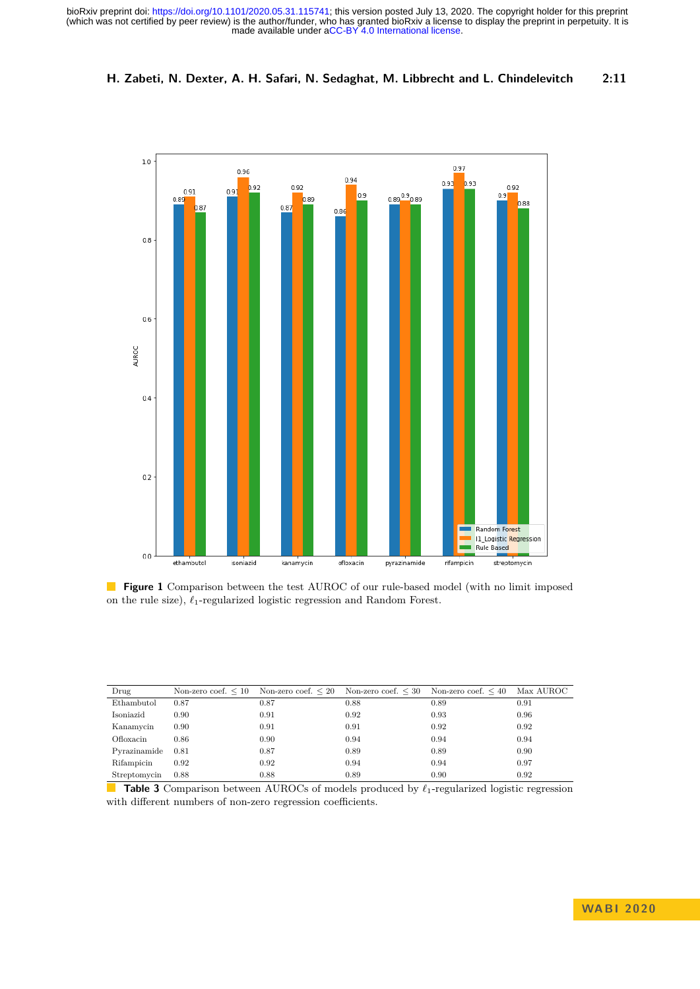(which was not certified by peer review) is the author/funder, who has granted bioRxiv a license to display the preprint in perpetuity. It is made available under [aCC-BY 4.0 International license.](http://creativecommons.org/licenses/by/4.0/) bioRxiv preprint doi: [https://doi.org/10.1101/2020.05.31.115741;](https://doi.org/10.1101/2020.05.31.115741) this version posted July 13, 2020. The copyright holder for this preprint

#### **H. Zabeti, N. Dexter, A. H. Safari, N. Sedaghat, M. Libbrecht and L. Chindelevitch 2:11**

<span id="page-10-0"></span>

**Figure 1** Comparison between the test AUROC of our rule-based model (with no limit imposed on the rule size),  $\ell_1$ -regularized logistic regression and Random Forest.

<span id="page-10-1"></span>

| Drug         |      | Non-zero coef. $\leq 10$ Non-zero coef. $\leq 20$ Non-zero coef. $\leq 30$ Non-zero coef. $\leq 40$ |      |      | Max AUROC |
|--------------|------|-----------------------------------------------------------------------------------------------------|------|------|-----------|
| Ethambutol   | 0.87 | 0.87                                                                                                | 0.88 | 0.89 | 0.91      |
| Isoniazid    | 0.90 | 0.91                                                                                                | 0.92 | 0.93 | 0.96      |
| Kanamycin    | 0.90 | 0.91                                                                                                | 0.91 | 0.92 | 0.92      |
| Ofloxacin    | 0.86 | 0.90                                                                                                | 0.94 | 0.94 | 0.94      |
| Pyrazinamide | 0.81 | 0.87                                                                                                | 0.89 | 0.89 | 0.90      |
| Rifampicin   | 0.92 | 0.92                                                                                                | 0.94 | 0.94 | 0.97      |
| Streptomycin | 0.88 | 0.88                                                                                                | 0.89 | 0.90 | 0.92      |

П **Table 3** Comparison between AUROCs of models produced by  $\ell_1$ -regularized logistic regression with different numbers of non-zero regression coefficients.

## **WA B I 2 0 2 0**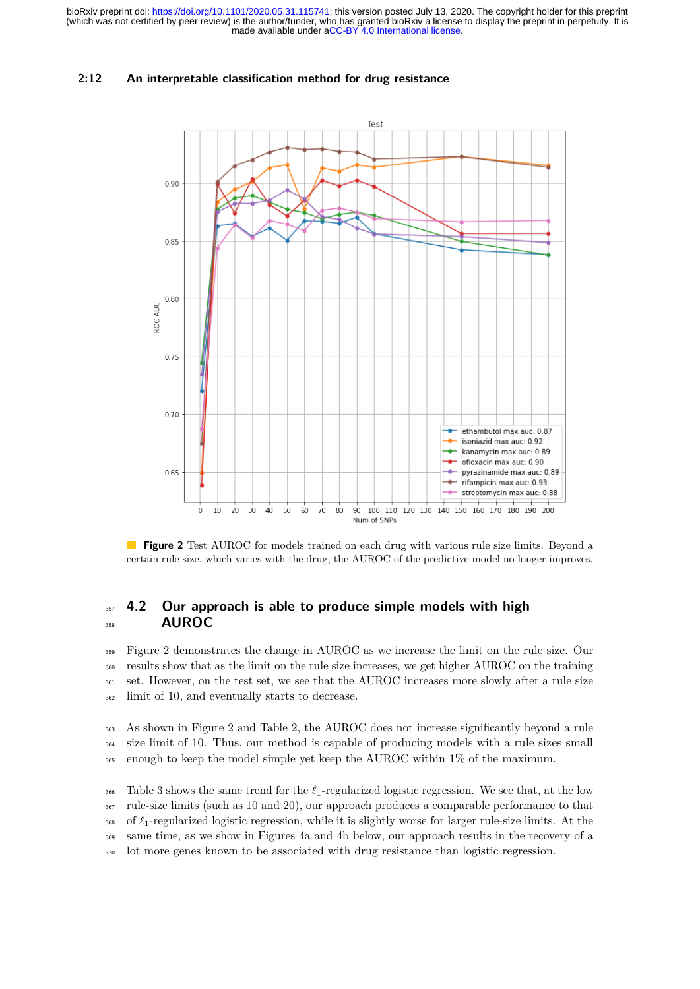#### **2:12 An interpretable classification method for drug resistance**

<span id="page-11-1"></span>

**Figure 2** Test AUROC for models trained on each drug with various rule size limits. Beyond a certain rule size, which varies with the drug, the AUROC of the predictive model no longer improves.

## <span id="page-11-0"></span><sup>357</sup> **4.2 Our approach is able to produce simple models with high** <sup>358</sup> **AUROC**

 Figure [2](#page-11-1) demonstrates the change in AUROC as we increase the limit on the rule size. Our results show that as the limit on the rule size increases, we get higher AUROC on the training set. However, on the test set, we see that the AUROC increases more slowly after a rule size limit of 10, and eventually starts to decrease.

<sup>363</sup> As shown in Figure [2](#page-11-1) and Table [2,](#page-9-1) the AUROC does not increase significantly beyond a rule <sup>364</sup> size limit of 10. Thus, our method is capable of producing models with a rule sizes small <sup>365</sup> enough to keep the model simple yet keep the AUROC within 1% of the maximum.

<sup>366</sup> Table [3](#page-10-1) shows the same trend for the  $\ell_1$ -regularized logistic regression. We see that, at the low <sup>367</sup> rule-size limits (such as 10 and 20), our approach produces a comparable performance to that  $\frac{1}{368}$  of  $\ell_1$ -regularized logistic regression, while it is slightly worse for larger rule-size limits. At the <sup>369</sup> same time, as we show in Figures [4a](#page-13-1) and [4b](#page-13-1) below, our approach results in the recovery of a <sup>370</sup> lot more genes known to be associated with drug resistance than logistic regression.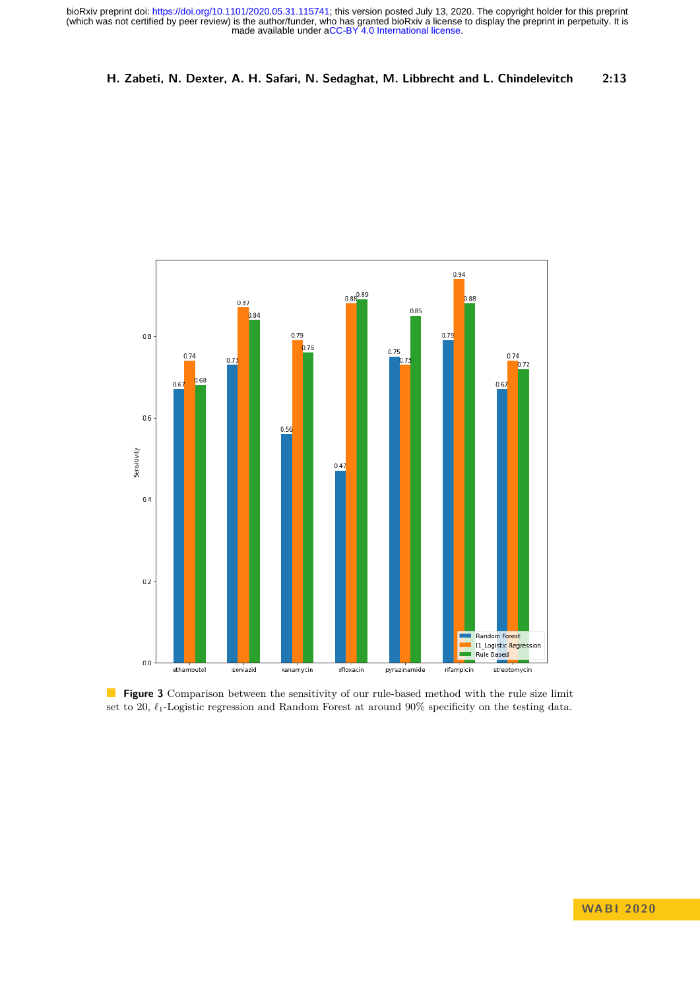#### **H. Zabeti, N. Dexter, A. H. Safari, N. Sedaghat, M. Libbrecht and L. Chindelevitch 2:13**



**Figure 3** Comparison between the sensitivity of our rule-based method with the rule size limit set to 20,  $\ell_1$ -Logistic regression and Random Forest at around 90% specificity on the testing data.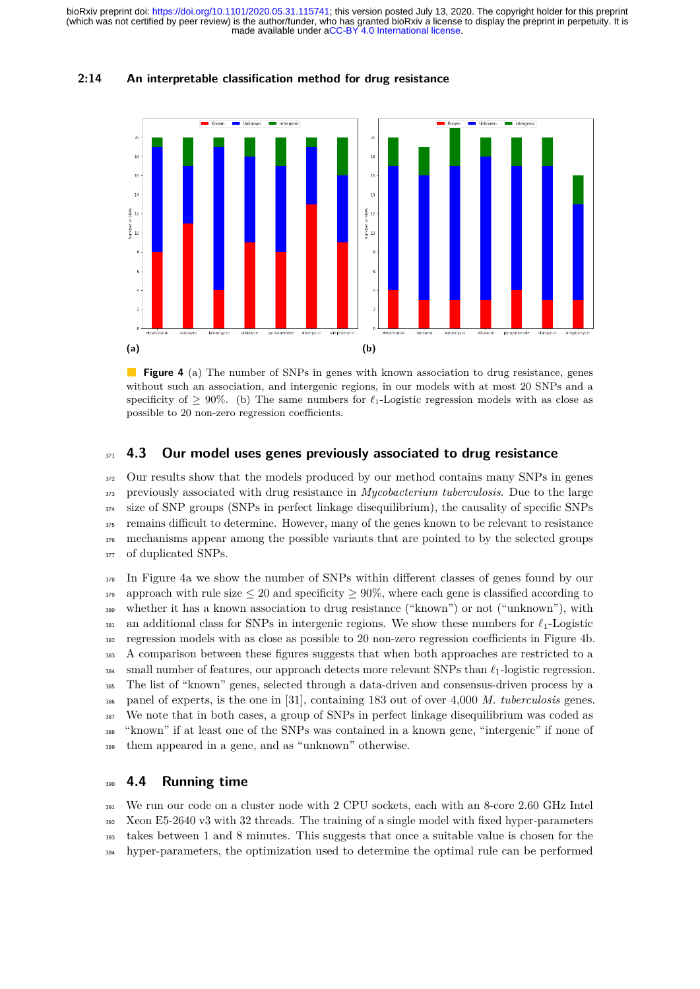# <span id="page-13-1"></span>intergenio  $\overline{z}$  $\overline{16}$  $\overline{1}$  $\overline{1}$  $\frac{dS}{dt}$  12  $\frac{a}{b}$   $E$ i n **(a) (b)**

**2:14 An interpretable classification method for drug resistance**

**Figure 4** (a) The number of SNPs in genes with known association to drug resistance, genes without such an association, and intergenic regions, in our models with at most 20 SNPs and a specificity of  $\geq 90\%$ . (b) The same numbers for  $\ell_1$ -Logistic regression models with as close as possible to 20 non-zero regression coefficients.

#### <span id="page-13-0"></span><sup>371</sup> **4.3 Our model uses genes previously associated to drug resistance**

<sup>372</sup> Our results show that the models produced by our method contains many SNPs in genes previously associated with drug resistance in *Mycobacterium tuberculosis*. Due to the large size of SNP groups (SNPs in perfect linkage disequilibrium), the causality of specific SNPs remains difficult to determine. However, many of the genes known to be relevant to resistance mechanisms appear among the possible variants that are pointed to by the selected groups 377 of duplicated SNPs.

 In Figure [4a](#page-13-1) we show the number of SNPs within different classes of genes found by our 379 approach with rule size  $\leq 20$  and specificity  $\geq 90\%$ , where each gene is classified according to whether it has a known association to drug resistance ("known") or not ("unknown"), with 381 an additional class for SNPs in intergenic regions. We show these numbers for  $\ell_1$ -Logistic regression models with as close as possible to 20 non-zero regression coefficients in Figure [4b.](#page-13-1) A comparison between these figures suggests that when both approaches are restricted to a  $_{384}$  small number of features, our approach detects more relevant SNPs than  $\ell_1$ -logistic regression. The list of "known" genes, selected through a data-driven and consensus-driven process by a panel of experts, is the one in [\[31\]](#page-16-15), containing 183 out of over 4,000 *M. tuberculosis* genes. We note that in both cases, a group of SNPs in perfect linkage disequilibrium was coded as "known" if at least one of the SNPs was contained in a known gene, "intergenic" if none of them appeared in a gene, and as "unknown" otherwise.

#### <sup>390</sup> **4.4 Running time**

 We run our code on a cluster node with 2 CPU sockets, each with an 8-core 2.60 GHz Intel Xeon E5-2640 v3 with 32 threads. The training of a single model with fixed hyper-parameters takes between 1 and 8 minutes. This suggests that once a suitable value is chosen for the hyper-parameters, the optimization used to determine the optimal rule can be performed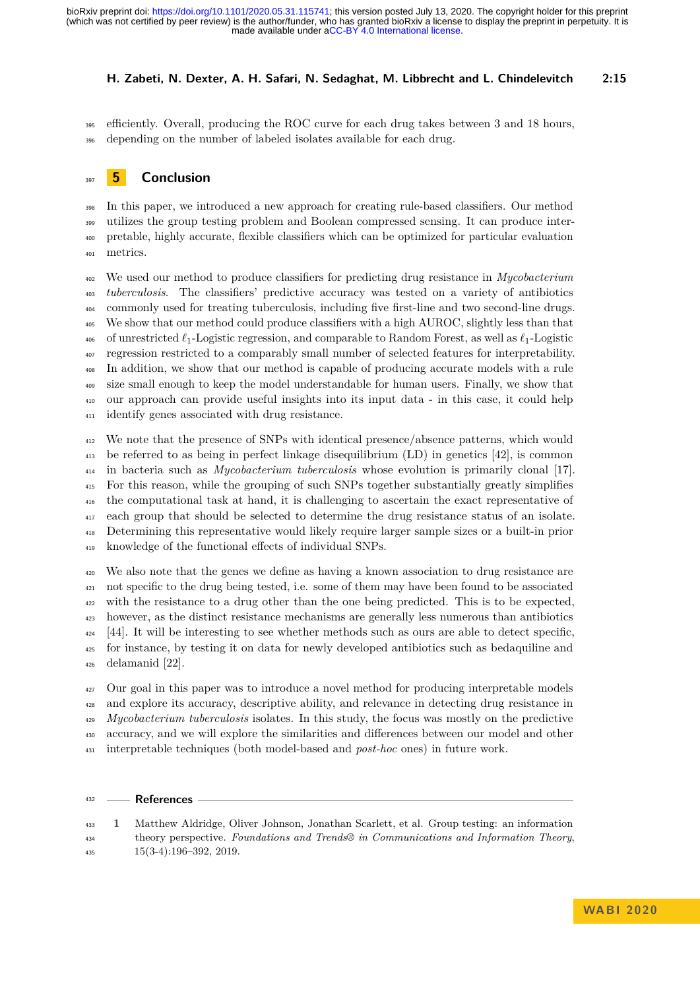#### **H. Zabeti, N. Dexter, A. H. Safari, N. Sedaghat, M. Libbrecht and L. Chindelevitch 2:15**

 efficiently. Overall, producing the ROC curve for each drug takes between 3 and 18 hours, depending on the number of labeled isolates available for each drug.

## **5 Conclusion**

 In this paper, we introduced a new approach for creating rule-based classifiers. Our method utilizes the group testing problem and Boolean compressed sensing. It can produce inter- pretable, highly accurate, flexible classifiers which can be optimized for particular evaluation metrics.

 We used our method to produce classifiers for predicting drug resistance in *Mycobacterium tuberculosis*. The classifiers' predictive accuracy was tested on a variety of antibiotics commonly used for treating tuberculosis, including five first-line and two second-line drugs. We show that our method could produce classifiers with a high AUROC, slightly less than that <sup>406</sup> of unrestricted  $\ell_1$ -Logistic regression, and comparable to Random Forest, as well as  $\ell_1$ -Logistic regression restricted to a comparably small number of selected features for interpretability. In addition, we show that our method is capable of producing accurate models with a rule size small enough to keep the model understandable for human users. Finally, we show that our approach can provide useful insights into its input data - in this case, it could help identify genes associated with drug resistance.

 We note that the presence of SNPs with identical presence/absence patterns, which would be referred to as being in perfect linkage disequilibrium (LD) in genetics [\[42\]](#page-17-12), is common in bacteria such as *Mycobacterium tuberculosis* whose evolution is primarily clonal [\[17\]](#page-15-16). For this reason, while the grouping of such SNPs together substantially greatly simplifies the computational task at hand, it is challenging to ascertain the exact representative of each group that should be selected to determine the drug resistance status of an isolate. Determining this representative would likely require larger sample sizes or a built-in prior knowledge of the functional effects of individual SNPs.

 We also note that the genes we define as having a known association to drug resistance are not specific to the drug being tested, i.e. some of them may have been found to be associated with the resistance to a drug other than the one being predicted. This is to be expected, however, as the distinct resistance mechanisms are generally less numerous than antibiotics . It will be interesting to see whether methods such as ours are able to detect specific, for instance, by testing it on data for newly developed antibiotics such as bedaquiline and delamanid [\[22\]](#page-16-16).

 Our goal in this paper was to introduce a novel method for producing interpretable models and explore its accuracy, descriptive ability, and relevance in detecting drug resistance in *Mycobacterium tuberculosis* isolates. In this study, the focus was mostly on the predictive accuracy, and we will explore the similarities and differences between our model and other interpretable techniques (both model-based and *post-hoc* ones) in future work.

#### **References**

<span id="page-14-0"></span> **1** Matthew Aldridge, Oliver Johnson, Jonathan Scarlett, et al. Group testing: an information theory perspective. *Foundations and Trends® in Communications and Information Theory*,  $15(3-4):196-392, 2019.$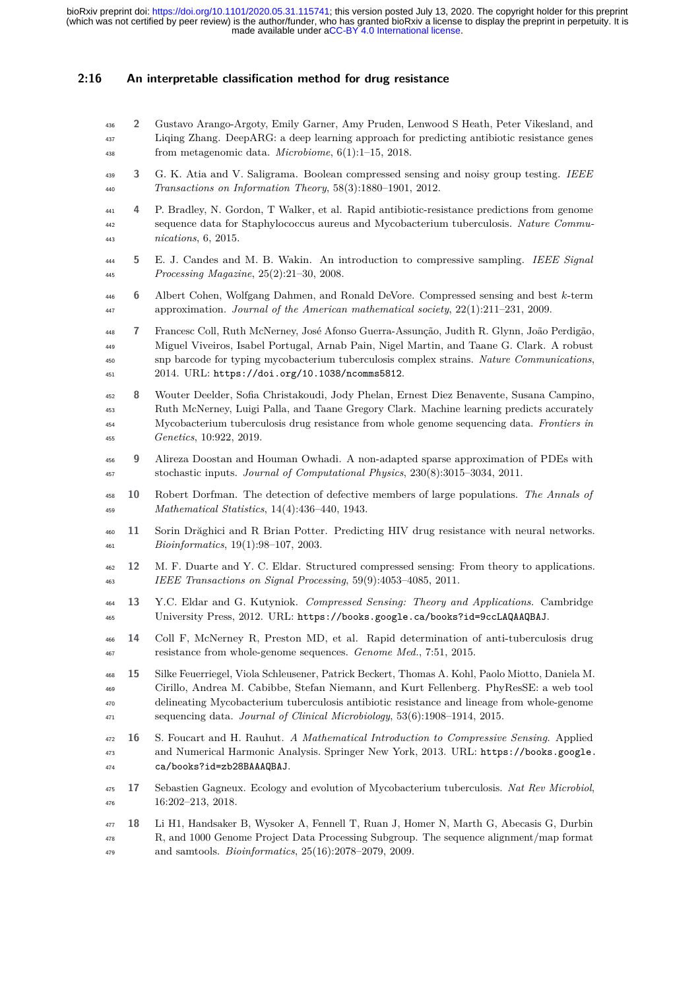#### **2:16 An interpretable classification method for drug resistance**

- <span id="page-15-4"></span> **2** Gustavo Arango-Argoty, Emily Garner, Amy Pruden, Lenwood S Heath, Peter Vikesland, and Liqing Zhang. DeepARG: a deep learning approach for predicting antibiotic resistance genes from metagenomic data. *Microbiome*, 6(1):1–15, 2018.
- <span id="page-15-10"></span> **3** G. K. Atia and V. Saligrama. Boolean compressed sensing and noisy group testing. *IEEE Transactions on Information Theory*, 58(3):1880–1901, 2012.
- <span id="page-15-1"></span> **4** P. Bradley, N. Gordon, T Walker, et al. Rapid antibiotic-resistance predictions from genome sequence data for Staphylococcus aureus and Mycobacterium tuberculosis. *Nature Commu-nications*, 6, 2015.
- <span id="page-15-9"></span> **5** E. J. Candes and M. B. Wakin. An introduction to compressive sampling. *IEEE Signal Processing Magazine*, 25(2):21–30, 2008.
- <span id="page-15-11"></span> **6** Albert Cohen, Wolfgang Dahmen, and Ronald DeVore. Compressed sensing and best *k*-term approximation. *Journal of the American mathematical society*, 22(1):211–231, 2009.
- <span id="page-15-13"></span> **7** Francesc Coll, Ruth McNerney, José Afonso Guerra-Assunção, Judith R. Glynn, João Perdigão, Miguel Viveiros, Isabel Portugal, Arnab Pain, Nigel Martin, and Taane G. Clark. A robust snp barcode for typing mycobacterium tuberculosis complex strains. *Nature Communications*, 2014. URL: <https://doi.org/10.1038/ncomms5812>.
- <span id="page-15-14"></span> **8** Wouter Deelder, Sofia Christakoudi, Jody Phelan, Ernest Diez Benavente, Susana Campino, Ruth McNerney, Luigi Palla, and Taane Gregory Clark. Machine learning predicts accurately Mycobacterium tuberculosis drug resistance from whole genome sequencing data. *Frontiers in Genetics*, 10:922, 2019.
- <span id="page-15-8"></span> **9** Alireza Doostan and Houman Owhadi. A non-adapted sparse approximation of PDEs with stochastic inputs. *Journal of Computational Physics*, 230(8):3015–3034, 2011.
- <span id="page-15-12"></span> **10** Robert Dorfman. The detection of defective members of large populations. *The Annals of Mathematical Statistics*, 14(4):436–440, 1943.
- <span id="page-15-3"></span> **11** Sorin Drăghici and R Brian Potter. Predicting HIV drug resistance with neural networks. *Bioinformatics*, 19(1):98–107, 2003.
- <span id="page-15-7"></span> **12** M. F. Duarte and Y. C. Eldar. Structured compressed sensing: From theory to applications. *IEEE Transactions on Signal Processing*, 59(9):4053–4085, 2011.
- <span id="page-15-6"></span> **13** Y.C. Eldar and G. Kutyniok. *Compressed Sensing: Theory and Applications*. Cambridge University Press, 2012. URL: <https://books.google.ca/books?id=9ccLAQAAQBAJ>.
- <span id="page-15-0"></span> **14** Coll F, McNerney R, Preston MD, et al. Rapid determination of anti-tuberculosis drug resistance from whole-genome sequences. *Genome Med.*, 7:51, 2015.
- <span id="page-15-2"></span> **15** Silke Feuerriegel, Viola Schleusener, Patrick Beckert, Thomas A. Kohl, Paolo Miotto, Daniela M. Cirillo, Andrea M. Cabibbe, Stefan Niemann, and Kurt Fellenberg. PhyResSE: a web tool delineating Mycobacterium tuberculosis antibiotic resistance and lineage from whole-genome sequencing data. *Journal of Clinical Microbiology*, 53(6):1908–1914, 2015.
- <span id="page-15-5"></span> **16** S. Foucart and H. Rauhut. *A Mathematical Introduction to Compressive Sensing*. Applied and Numerical Harmonic Analysis. Springer New York, 2013. URL: [https://books.google.](https://books.google.ca/books?id=zb28BAAAQBAJ) [ca/books?id=zb28BAAAQBAJ](https://books.google.ca/books?id=zb28BAAAQBAJ).
- <span id="page-15-16"></span> **17** Sebastien Gagneux. Ecology and evolution of Mycobacterium tuberculosis. *Nat Rev Microbiol*, 16:202–213, 2018.
- <span id="page-15-15"></span> **18** Li H1, Handsaker B, Wysoker A, Fennell T, Ruan J, Homer N, Marth G, Abecasis G, Durbin R, and 1000 Genome Project Data Processing Subgroup. The sequence alignment/map format and samtools. *Bioinformatics*, 25(16):2078–2079, 2009.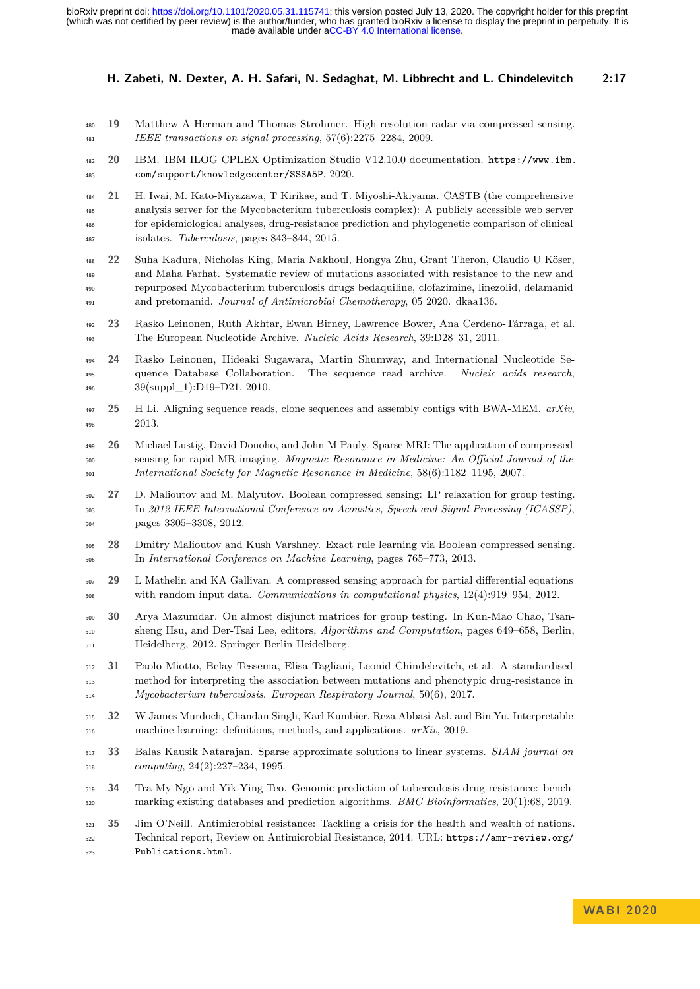- <span id="page-16-3"></span> **19** Matthew A Herman and Thomas Strohmer. High-resolution radar via compressed sensing. *IEEE transactions on signal processing*, 57(6):2275–2284, 2009.
- <span id="page-16-9"></span> **[2](https://www.ibm.com/support/knowledgecenter/SSSA5P)0** IBM. IBM ILOG CPLEX Optimization Studio V12.10.0 documentation. [https://www.ibm.](https://www.ibm.com/support/knowledgecenter/SSSA5P) [com/support/knowledgecenter/SSSA5P](https://www.ibm.com/support/knowledgecenter/SSSA5P), 2020.
- <span id="page-16-1"></span> **21** H. Iwai, M. Kato-Miyazawa, T Kirikae, and T. Miyoshi-Akiyama. CASTB (the comprehensive analysis server for the Mycobacterium tuberculosis complex): A publicly accessible web server for epidemiological analyses, drug-resistance prediction and phylogenetic comparison of clinical isolates. *Tuberculosis*, pages 843–844, 2015.
- <span id="page-16-16"></span> **22** Suha Kadura, Nicholas King, Maria Nakhoul, Hongya Zhu, Grant Theron, Claudio U Köser, and Maha Farhat. Systematic review of mutations associated with resistance to the new and repurposed Mycobacterium tuberculosis drugs bedaquiline, clofazimine, linezolid, delamanid and pretomanid. *Journal of Antimicrobial Chemotherapy*, 05 2020. dkaa136.
- <span id="page-16-11"></span> **23** Rasko Leinonen, Ruth Akhtar, Ewan Birney, Lawrence Bower, Ana Cerdeno-Tárraga, et al. The European Nucleotide Archive. *Nucleic Acids Research*, 39:D28–31, 2011.
- <span id="page-16-12"></span> **24** Rasko Leinonen, Hideaki Sugawara, Martin Shumway, and International Nucleotide Se- quence Database Collaboration. The sequence read archive. *Nucleic acids research*, 39(suppl\_1):D19–D21, 2010.
- <span id="page-16-13"></span> **25** H Li. Aligning sequence reads, clone sequences and assembly contigs with BWA-MEM. *arXiv*, 2013.
- <span id="page-16-2"></span> **26** Michael Lustig, David Donoho, and John M Pauly. Sparse MRI: The application of compressed sensing for rapid MR imaging. *Magnetic Resonance in Medicine: An Official Journal of the International Society for Magnetic Resonance in Medicine*, 58(6):1182–1195, 2007.
- <span id="page-16-7"></span> **27** D. Malioutov and M. Malyutov. Boolean compressed sensing: LP relaxation for group testing. In *2012 IEEE International Conference on Acoustics, Speech and Signal Processing (ICASSP)*, pages 3305–3308, 2012.
- <span id="page-16-5"></span> **28** Dmitry Malioutov and Kush Varshney. Exact rule learning via Boolean compressed sensing. In *International Conference on Machine Learning*, pages 765–773, 2013.
- <span id="page-16-4"></span> **29** L Mathelin and KA Gallivan. A compressed sensing approach for partial differential equations with random input data. *Communications in computational physics*, 12(4):919–954, 2012.
- <span id="page-16-8"></span> **30** Arya Mazumdar. On almost disjunct matrices for group testing. In Kun-Mao Chao, Tsan- sheng Hsu, and Der-Tsai Lee, editors, *Algorithms and Computation*, pages 649–658, Berlin, Heidelberg, 2012. Springer Berlin Heidelberg.
- <span id="page-16-15"></span> **31** Paolo Miotto, Belay Tessema, Elisa Tagliani, Leonid Chindelevitch, et al. A standardised method for interpreting the association between mutations and phenotypic drug-resistance in *Mycobacterium tuberculosis*. *European Respiratory Journal*, 50(6), 2017.
- <span id="page-16-14"></span> **32** W James Murdoch, Chandan Singh, Karl Kumbier, Reza Abbasi-Asl, and Bin Yu. Interpretable machine learning: definitions, methods, and applications. *arXiv*, 2019.
- <span id="page-16-6"></span> **33** Balas Kausik Natarajan. Sparse approximate solutions to linear systems. *SIAM journal on computing*, 24(2):227–234, 1995.
- <span id="page-16-10"></span> **34** Tra-My Ngo and Yik-Ying Teo. Genomic prediction of tuberculosis drug-resistance: bench-marking existing databases and prediction algorithms. *BMC Bioinformatics*, 20(1):68, 2019.
- <span id="page-16-0"></span> **35** Jim O'Neill. Antimicrobial resistance: Tackling a crisis for the health and wealth of nations. Technical report, Review on Antimicrobial Resistance, 2014. URL: [https://amr-review.org/](https://amr-review.org/Publications.html) [Publications.html](https://amr-review.org/Publications.html).